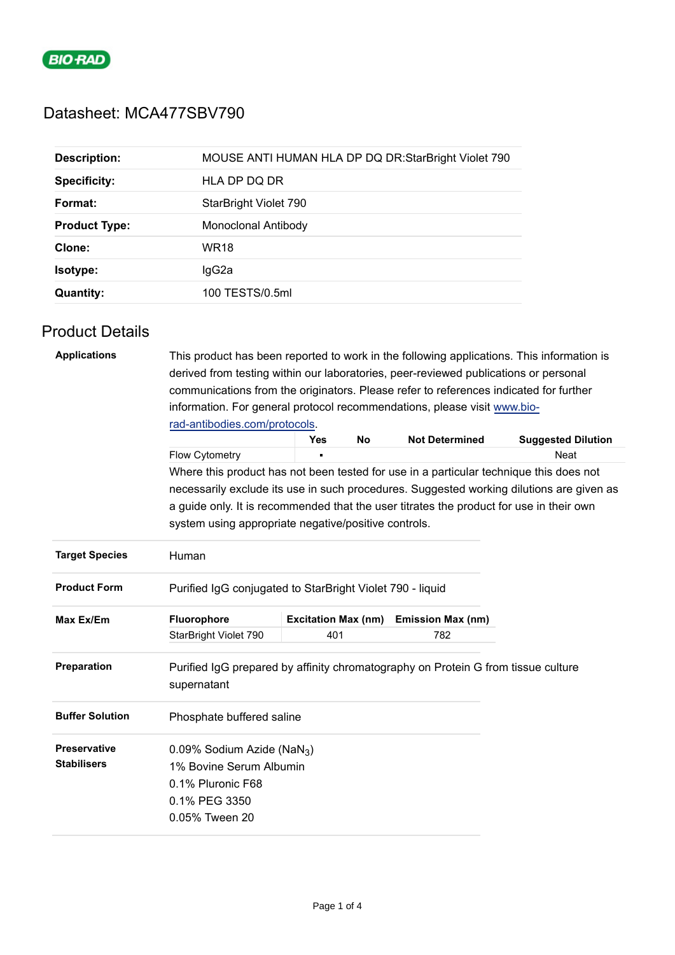

# Datasheet: MCA477SBV790

| <b>Description:</b>  | MOUSE ANTI HUMAN HLA DP DQ DR:StarBright Violet 790 |  |  |
|----------------------|-----------------------------------------------------|--|--|
| <b>Specificity:</b>  | HLA DP DQ DR                                        |  |  |
| Format:              | StarBright Violet 790                               |  |  |
| <b>Product Type:</b> | Monoclonal Antibody                                 |  |  |
| Clone:               | <b>WR18</b>                                         |  |  |
| <b>Isotype:</b>      | lgG2a                                               |  |  |
| <b>Quantity:</b>     | 100 TESTS/0.5ml                                     |  |  |

## Product Details

| <b>Applications</b>                       | derived from testing within our laboratories, peer-reviewed publications or personal                                                                                               |                            |           |                          | This product has been reported to work in the following applications. This information is |  |  |
|-------------------------------------------|------------------------------------------------------------------------------------------------------------------------------------------------------------------------------------|----------------------------|-----------|--------------------------|-------------------------------------------------------------------------------------------|--|--|
|                                           | communications from the originators. Please refer to references indicated for further<br>information. For general protocol recommendations, please visit www.bio-                  |                            |           |                          |                                                                                           |  |  |
|                                           | rad-antibodies.com/protocols.                                                                                                                                                      |                            |           |                          |                                                                                           |  |  |
|                                           |                                                                                                                                                                                    | <b>Yes</b>                 | <b>No</b> | <b>Not Determined</b>    | <b>Suggested Dilution</b>                                                                 |  |  |
|                                           | Flow Cytometry                                                                                                                                                                     |                            |           |                          | <b>Neat</b>                                                                               |  |  |
|                                           | Where this product has not been tested for use in a particular technique this does not<br>necessarily exclude its use in such procedures. Suggested working dilutions are given as |                            |           |                          |                                                                                           |  |  |
|                                           | a guide only. It is recommended that the user titrates the product for use in their own                                                                                            |                            |           |                          |                                                                                           |  |  |
|                                           | system using appropriate negative/positive controls.                                                                                                                               |                            |           |                          |                                                                                           |  |  |
|                                           |                                                                                                                                                                                    |                            |           |                          |                                                                                           |  |  |
| <b>Target Species</b>                     | Human                                                                                                                                                                              |                            |           |                          |                                                                                           |  |  |
| <b>Product Form</b>                       | Purified IgG conjugated to StarBright Violet 790 - liquid                                                                                                                          |                            |           |                          |                                                                                           |  |  |
| Max Ex/Em                                 | Fluorophore                                                                                                                                                                        | <b>Excitation Max (nm)</b> |           | <b>Emission Max (nm)</b> |                                                                                           |  |  |
|                                           | StarBright Violet 790                                                                                                                                                              | 401                        |           | 782                      |                                                                                           |  |  |
| <b>Preparation</b>                        | Purified IgG prepared by affinity chromatography on Protein G from tissue culture<br>supernatant                                                                                   |                            |           |                          |                                                                                           |  |  |
| <b>Buffer Solution</b>                    | Phosphate buffered saline                                                                                                                                                          |                            |           |                          |                                                                                           |  |  |
| <b>Preservative</b><br><b>Stabilisers</b> | 0.09% Sodium Azide (NaN <sub>3</sub> )<br>1% Bovine Serum Albumin<br>0.1% Pluronic F68<br>0.1% PEG 3350<br>0.05% Tween 20                                                          |                            |           |                          |                                                                                           |  |  |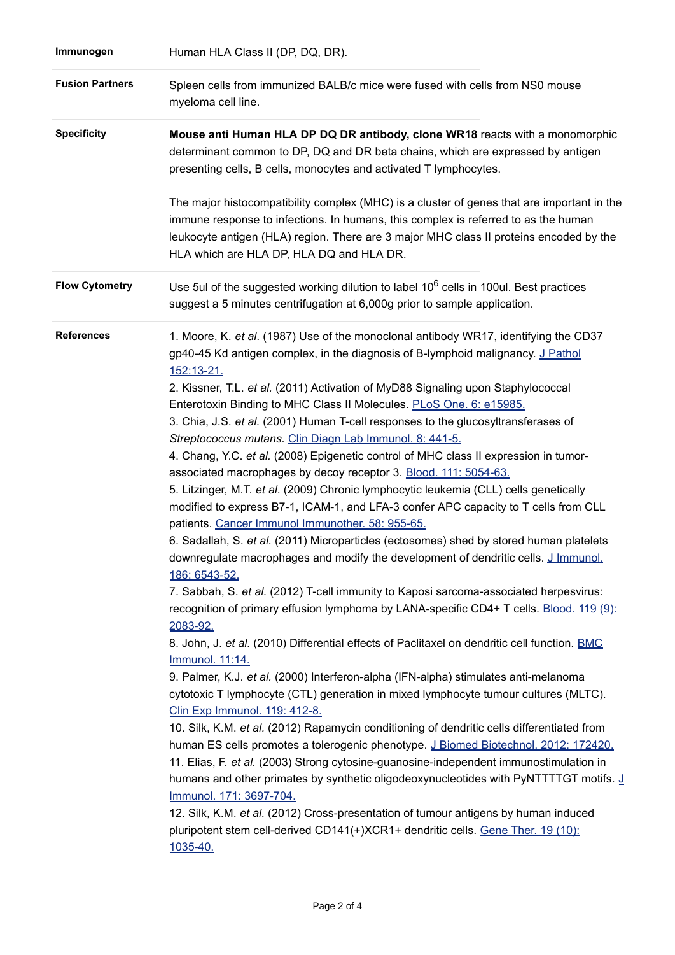| Immunogen              | Human HLA Class II (DP, DQ, DR).                                                                                                                                                                                                                                                                                                                                                                                                                                                                                                                                                                                                                                                                                                                                                                                                                                                                                                                                                                                                                                                                                                                                                                                                                                                                                                                                                                                                                                                                                                                                                                                                                                                                                                                                                                                                                                                                                                                                                                                                                                                                                                                                                                                               |
|------------------------|--------------------------------------------------------------------------------------------------------------------------------------------------------------------------------------------------------------------------------------------------------------------------------------------------------------------------------------------------------------------------------------------------------------------------------------------------------------------------------------------------------------------------------------------------------------------------------------------------------------------------------------------------------------------------------------------------------------------------------------------------------------------------------------------------------------------------------------------------------------------------------------------------------------------------------------------------------------------------------------------------------------------------------------------------------------------------------------------------------------------------------------------------------------------------------------------------------------------------------------------------------------------------------------------------------------------------------------------------------------------------------------------------------------------------------------------------------------------------------------------------------------------------------------------------------------------------------------------------------------------------------------------------------------------------------------------------------------------------------------------------------------------------------------------------------------------------------------------------------------------------------------------------------------------------------------------------------------------------------------------------------------------------------------------------------------------------------------------------------------------------------------------------------------------------------------------------------------------------------|
| <b>Fusion Partners</b> | Spleen cells from immunized BALB/c mice were fused with cells from NS0 mouse<br>myeloma cell line.                                                                                                                                                                                                                                                                                                                                                                                                                                                                                                                                                                                                                                                                                                                                                                                                                                                                                                                                                                                                                                                                                                                                                                                                                                                                                                                                                                                                                                                                                                                                                                                                                                                                                                                                                                                                                                                                                                                                                                                                                                                                                                                             |
| <b>Specificity</b>     | Mouse anti Human HLA DP DQ DR antibody, clone WR18 reacts with a monomorphic<br>determinant common to DP, DQ and DR beta chains, which are expressed by antigen<br>presenting cells, B cells, monocytes and activated T lymphocytes.                                                                                                                                                                                                                                                                                                                                                                                                                                                                                                                                                                                                                                                                                                                                                                                                                                                                                                                                                                                                                                                                                                                                                                                                                                                                                                                                                                                                                                                                                                                                                                                                                                                                                                                                                                                                                                                                                                                                                                                           |
|                        | The major histocompatibility complex (MHC) is a cluster of genes that are important in the<br>immune response to infections. In humans, this complex is referred to as the human<br>leukocyte antigen (HLA) region. There are 3 major MHC class II proteins encoded by the<br>HLA which are HLA DP, HLA DQ and HLA DR.                                                                                                                                                                                                                                                                                                                                                                                                                                                                                                                                                                                                                                                                                                                                                                                                                                                                                                                                                                                                                                                                                                                                                                                                                                                                                                                                                                                                                                                                                                                                                                                                                                                                                                                                                                                                                                                                                                         |
| <b>Flow Cytometry</b>  | Use 5ul of the suggested working dilution to label 10 <sup>6</sup> cells in 100ul. Best practices<br>suggest a 5 minutes centrifugation at 6,000g prior to sample application.                                                                                                                                                                                                                                                                                                                                                                                                                                                                                                                                                                                                                                                                                                                                                                                                                                                                                                                                                                                                                                                                                                                                                                                                                                                                                                                                                                                                                                                                                                                                                                                                                                                                                                                                                                                                                                                                                                                                                                                                                                                 |
| <b>References</b>      | 1. Moore, K. et al. (1987) Use of the monoclonal antibody WR17, identifying the CD37<br>gp40-45 Kd antigen complex, in the diagnosis of B-lymphoid malignancy. J Pathol<br>152:13-21.<br>2. Kissner, T.L. et al. (2011) Activation of MyD88 Signaling upon Staphylococcal<br>Enterotoxin Binding to MHC Class II Molecules. PLoS One. 6: e15985.<br>3. Chia, J.S. et al. (2001) Human T-cell responses to the glucosyltransferases of<br>Streptococcus mutans. Clin Diagn Lab Immunol. 8: 441-5.<br>4. Chang, Y.C. et al. (2008) Epigenetic control of MHC class II expression in tumor-<br>associated macrophages by decoy receptor 3. Blood. 111: 5054-63.<br>5. Litzinger, M.T. et al. (2009) Chronic lymphocytic leukemia (CLL) cells genetically<br>modified to express B7-1, ICAM-1, and LFA-3 confer APC capacity to T cells from CLL<br>patients. Cancer Immunol Immunother. 58: 955-65.<br>6. Sadallah, S. et al. (2011) Microparticles (ectosomes) shed by stored human platelets<br>downregulate macrophages and modify the development of dendritic cells. J Immunol.<br>186: 6543-52.<br>7. Sabbah, S. et al. (2012) T-cell immunity to Kaposi sarcoma-associated herpesvirus:<br>recognition of primary effusion lymphoma by LANA-specific CD4+ T cells. Blood. 119 (9):<br>2083-92.<br>8. John, J. et al. (2010) Differential effects of Paclitaxel on dendritic cell function. BMC<br>Immunol. 11:14.<br>9. Palmer, K.J. et al. (2000) Interferon-alpha (IFN-alpha) stimulates anti-melanoma<br>cytotoxic T lymphocyte (CTL) generation in mixed lymphocyte tumour cultures (MLTC).<br>Clin Exp Immunol. 119: 412-8.<br>10. Silk, K.M. et al. (2012) Rapamycin conditioning of dendritic cells differentiated from<br>human ES cells promotes a tolerogenic phenotype. J Biomed Biotechnol. 2012: 172420.<br>11. Elias, F. et al. (2003) Strong cytosine-guanosine-independent immunostimulation in<br>humans and other primates by synthetic oligodeoxynucleotides with PyNTTTTGT motifs. J<br>Immunol. 171: 3697-704.<br>12. Silk, K.M. et al. (2012) Cross-presentation of tumour antigens by human induced<br>pluripotent stem cell-derived CD141(+)XCR1+ dendritic cells. Gene Ther. 19 (10):<br>1035-40. |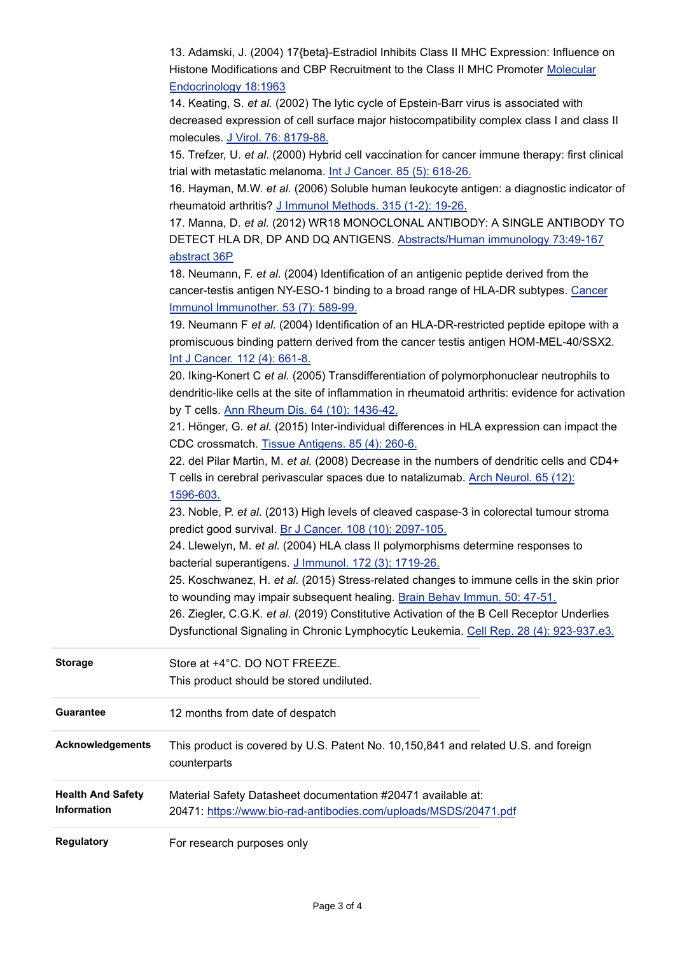|                          | 13. Adamski, J. (2004) 17{beta}-Estradiol Inhibits Class II MHC Expression: Influence on<br>Histone Modifications and CBP Recruitment to the Class II MHC Promoter Molecular     |
|--------------------------|----------------------------------------------------------------------------------------------------------------------------------------------------------------------------------|
|                          | Endocrinology 18:1963<br>14. Keating, S. et al. (2002) The lytic cycle of Epstein-Barr virus is associated with                                                                  |
|                          | decreased expression of cell surface major histocompatibility complex class I and class II<br>molecules. J Virol. 76: 8179-88.                                                   |
|                          | 15. Trefzer, U. et al. (2000) Hybrid cell vaccination for cancer immune therapy: first clinical<br>trial with metastatic melanoma. Int J Cancer. 85 (5): 618-26.                 |
|                          | 16. Hayman, M.W. et al. (2006) Soluble human leukocyte antigen: a diagnostic indicator of                                                                                        |
|                          | rheumatoid arthritis? J Immunol Methods. 315 (1-2): 19-26.                                                                                                                       |
|                          | 17. Manna, D. et al. (2012) WR18 MONOCLONAL ANTIBODY: A SINGLE ANTIBODY TO                                                                                                       |
|                          | DETECT HLA DR, DP AND DQ ANTIGENS. Abstracts/Human immunology 73:49-167                                                                                                          |
|                          | abstract 36P                                                                                                                                                                     |
|                          | 18. Neumann, F. et al. (2004) Identification of an antigenic peptide derived from the                                                                                            |
|                          | cancer-testis antigen NY-ESO-1 binding to a broad range of HLA-DR subtypes. Cancer                                                                                               |
|                          | Immunol Immunother. 53 (7): 589-99.                                                                                                                                              |
|                          | 19. Neumann F et al. (2004) Identification of an HLA-DR-restricted peptide epitope with a<br>promiscuous binding pattern derived from the cancer testis antigen HOM-MEL-40/SSX2. |
|                          | Int J Cancer. 112 (4): 661-8.                                                                                                                                                    |
|                          | 20. Iking-Konert C et al. (2005) Transdifferentiation of polymorphonuclear neutrophils to                                                                                        |
|                          | dendritic-like cells at the site of inflammation in rheumatoid arthritis: evidence for activation                                                                                |
|                          | by T cells. Ann Rheum Dis. 64 (10): 1436-42.                                                                                                                                     |
|                          | 21. Hönger, G. et al. (2015) Inter-individual differences in HLA expression can impact the                                                                                       |
|                          | CDC crossmatch. Tissue Antigens. 85 (4): 260-6.                                                                                                                                  |
|                          | 22. del Pilar Martin, M. et al. (2008) Decrease in the numbers of dendritic cells and CD4+                                                                                       |
|                          | T cells in cerebral perivascular spaces due to natalizumab. Arch Neurol. 65 (12):                                                                                                |
|                          | 1596-603.                                                                                                                                                                        |
|                          | 23. Noble, P. et al. (2013) High levels of cleaved caspase-3 in colorectal tumour stroma                                                                                         |
|                          | predict good survival. Br J Cancer. 108 (10): 2097-105.                                                                                                                          |
|                          | 24. Llewelyn, M. et al. (2004) HLA class II polymorphisms determine responses to                                                                                                 |
|                          | bacterial superantigens. J Immunol. 172 (3): 1719-26.                                                                                                                            |
|                          | 25. Koschwanez, H. et al. (2015) Stress-related changes to immune cells in the skin prior                                                                                        |
|                          | to wounding may impair subsequent healing. Brain Behav Immun. 50: 47-51.<br>26. Ziegler, C.G.K. et al. (2019) Constitutive Activation of the B Cell Receptor Underlies           |
|                          | Dysfunctional Signaling in Chronic Lymphocytic Leukemia. Cell Rep. 28 (4): 923-937.e3.                                                                                           |
|                          |                                                                                                                                                                                  |
| <b>Storage</b>           | Store at +4°C. DO NOT FREEZE.                                                                                                                                                    |
|                          | This product should be stored undiluted.                                                                                                                                         |
|                          |                                                                                                                                                                                  |
| <b>Guarantee</b>         | 12 months from date of despatch                                                                                                                                                  |
| <b>Acknowledgements</b>  | This product is covered by U.S. Patent No. 10,150,841 and related U.S. and foreign                                                                                               |
|                          | counterparts                                                                                                                                                                     |
| <b>Health And Safety</b> | Material Safety Datasheet documentation #20471 available at:                                                                                                                     |
| Information              | 20471: https://www.bio-rad-antibodies.com/uploads/MSDS/20471.pdf                                                                                                                 |
|                          |                                                                                                                                                                                  |
| <b>Regulatory</b>        | For research purposes only                                                                                                                                                       |